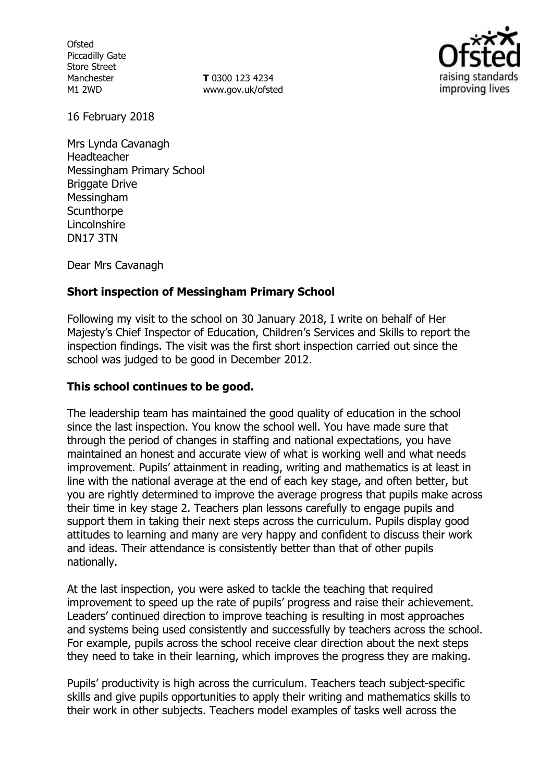**Ofsted** Piccadilly Gate Store Street Manchester M1 2WD

**T** 0300 123 4234 www.gov.uk/ofsted



16 February 2018

Mrs Lynda Cavanagh Headteacher Messingham Primary School Briggate Drive Messingham **Scunthorpe** Lincolnshire DN17 3TN

Dear Mrs Cavanagh

## **Short inspection of Messingham Primary School**

Following my visit to the school on 30 January 2018, I write on behalf of Her Majesty's Chief Inspector of Education, Children's Services and Skills to report the inspection findings. The visit was the first short inspection carried out since the school was judged to be good in December 2012.

### **This school continues to be good.**

The leadership team has maintained the good quality of education in the school since the last inspection. You know the school well. You have made sure that through the period of changes in staffing and national expectations, you have maintained an honest and accurate view of what is working well and what needs improvement. Pupils' attainment in reading, writing and mathematics is at least in line with the national average at the end of each key stage, and often better, but you are rightly determined to improve the average progress that pupils make across their time in key stage 2. Teachers plan lessons carefully to engage pupils and support them in taking their next steps across the curriculum. Pupils display good attitudes to learning and many are very happy and confident to discuss their work and ideas. Their attendance is consistently better than that of other pupils nationally.

At the last inspection, you were asked to tackle the teaching that required improvement to speed up the rate of pupils' progress and raise their achievement. Leaders' continued direction to improve teaching is resulting in most approaches and systems being used consistently and successfully by teachers across the school. For example, pupils across the school receive clear direction about the next steps they need to take in their learning, which improves the progress they are making.

Pupils' productivity is high across the curriculum. Teachers teach subject-specific skills and give pupils opportunities to apply their writing and mathematics skills to their work in other subjects. Teachers model examples of tasks well across the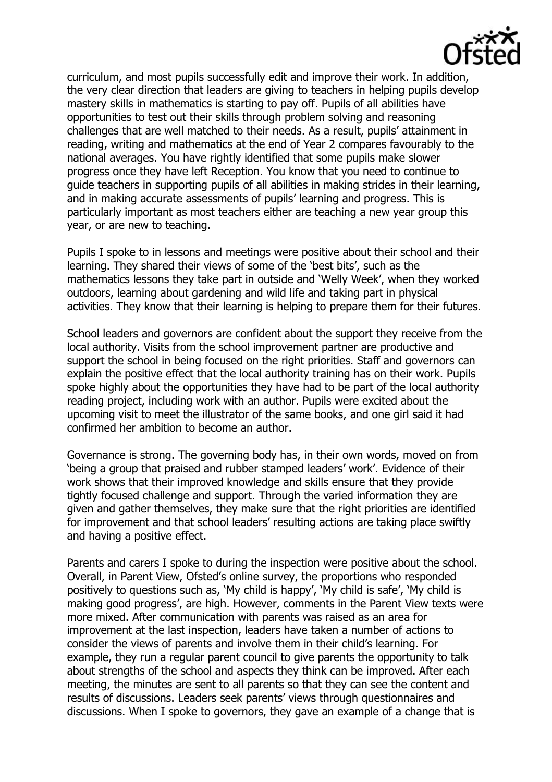

curriculum, and most pupils successfully edit and improve their work. In addition, the very clear direction that leaders are giving to teachers in helping pupils develop mastery skills in mathematics is starting to pay off. Pupils of all abilities have opportunities to test out their skills through problem solving and reasoning challenges that are well matched to their needs. As a result, pupils' attainment in reading, writing and mathematics at the end of Year 2 compares favourably to the national averages. You have rightly identified that some pupils make slower progress once they have left Reception. You know that you need to continue to guide teachers in supporting pupils of all abilities in making strides in their learning, and in making accurate assessments of pupils' learning and progress. This is particularly important as most teachers either are teaching a new year group this year, or are new to teaching.

Pupils I spoke to in lessons and meetings were positive about their school and their learning. They shared their views of some of the 'best bits', such as the mathematics lessons they take part in outside and 'Welly Week', when they worked outdoors, learning about gardening and wild life and taking part in physical activities. They know that their learning is helping to prepare them for their futures.

School leaders and governors are confident about the support they receive from the local authority. Visits from the school improvement partner are productive and support the school in being focused on the right priorities. Staff and governors can explain the positive effect that the local authority training has on their work. Pupils spoke highly about the opportunities they have had to be part of the local authority reading project, including work with an author. Pupils were excited about the upcoming visit to meet the illustrator of the same books, and one girl said it had confirmed her ambition to become an author.

Governance is strong. The governing body has, in their own words, moved on from 'being a group that praised and rubber stamped leaders' work'. Evidence of their work shows that their improved knowledge and skills ensure that they provide tightly focused challenge and support. Through the varied information they are given and gather themselves, they make sure that the right priorities are identified for improvement and that school leaders' resulting actions are taking place swiftly and having a positive effect.

Parents and carers I spoke to during the inspection were positive about the school. Overall, in Parent View, Ofsted's online survey, the proportions who responded positively to questions such as, 'My child is happy', 'My child is safe', 'My child is making good progress', are high. However, comments in the Parent View texts were more mixed. After communication with parents was raised as an area for improvement at the last inspection, leaders have taken a number of actions to consider the views of parents and involve them in their child's learning. For example, they run a regular parent council to give parents the opportunity to talk about strengths of the school and aspects they think can be improved. After each meeting, the minutes are sent to all parents so that they can see the content and results of discussions. Leaders seek parents' views through questionnaires and discussions. When I spoke to governors, they gave an example of a change that is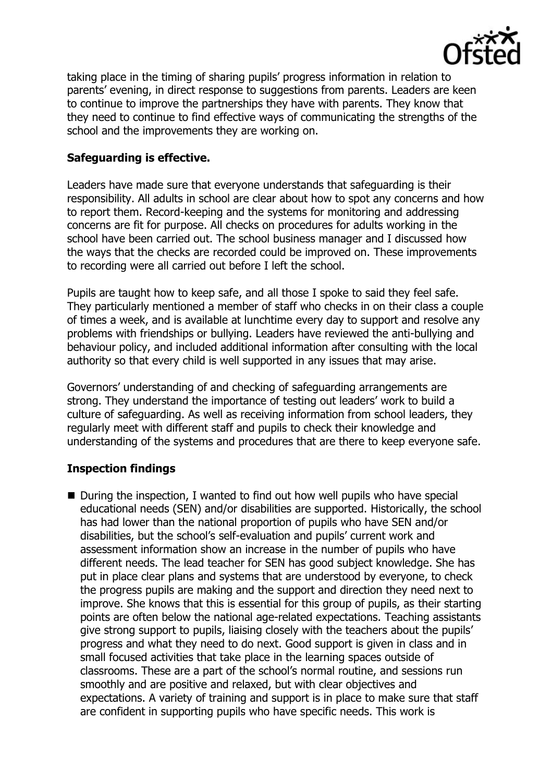

taking place in the timing of sharing pupils' progress information in relation to parents' evening, in direct response to suggestions from parents. Leaders are keen to continue to improve the partnerships they have with parents. They know that they need to continue to find effective ways of communicating the strengths of the school and the improvements they are working on.

## **Safeguarding is effective.**

Leaders have made sure that everyone understands that safeguarding is their responsibility. All adults in school are clear about how to spot any concerns and how to report them. Record-keeping and the systems for monitoring and addressing concerns are fit for purpose. All checks on procedures for adults working in the school have been carried out. The school business manager and I discussed how the ways that the checks are recorded could be improved on. These improvements to recording were all carried out before I left the school.

Pupils are taught how to keep safe, and all those I spoke to said they feel safe. They particularly mentioned a member of staff who checks in on their class a couple of times a week, and is available at lunchtime every day to support and resolve any problems with friendships or bullying. Leaders have reviewed the anti-bullying and behaviour policy, and included additional information after consulting with the local authority so that every child is well supported in any issues that may arise.

Governors' understanding of and checking of safeguarding arrangements are strong. They understand the importance of testing out leaders' work to build a culture of safeguarding. As well as receiving information from school leaders, they regularly meet with different staff and pupils to check their knowledge and understanding of the systems and procedures that are there to keep everyone safe.

# **Inspection findings**

■ During the inspection, I wanted to find out how well pupils who have special educational needs (SEN) and/or disabilities are supported. Historically, the school has had lower than the national proportion of pupils who have SEN and/or disabilities, but the school's self-evaluation and pupils' current work and assessment information show an increase in the number of pupils who have different needs. The lead teacher for SEN has good subject knowledge. She has put in place clear plans and systems that are understood by everyone, to check the progress pupils are making and the support and direction they need next to improve. She knows that this is essential for this group of pupils, as their starting points are often below the national age-related expectations. Teaching assistants give strong support to pupils, liaising closely with the teachers about the pupils' progress and what they need to do next. Good support is given in class and in small focused activities that take place in the learning spaces outside of classrooms. These are a part of the school's normal routine, and sessions run smoothly and are positive and relaxed, but with clear objectives and expectations. A variety of training and support is in place to make sure that staff are confident in supporting pupils who have specific needs. This work is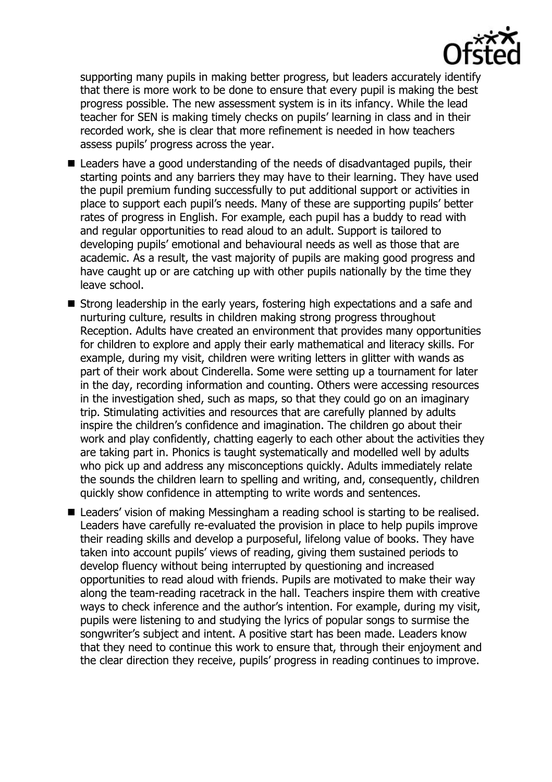

supporting many pupils in making better progress, but leaders accurately identify that there is more work to be done to ensure that every pupil is making the best progress possible. The new assessment system is in its infancy. While the lead teacher for SEN is making timely checks on pupils' learning in class and in their recorded work, she is clear that more refinement is needed in how teachers assess pupils' progress across the year.

- Leaders have a good understanding of the needs of disadvantaged pupils, their starting points and any barriers they may have to their learning. They have used the pupil premium funding successfully to put additional support or activities in place to support each pupil's needs. Many of these are supporting pupils' better rates of progress in English. For example, each pupil has a buddy to read with and regular opportunities to read aloud to an adult. Support is tailored to developing pupils' emotional and behavioural needs as well as those that are academic. As a result, the vast majority of pupils are making good progress and have caught up or are catching up with other pupils nationally by the time they leave school.
- Strong leadership in the early years, fostering high expectations and a safe and nurturing culture, results in children making strong progress throughout Reception. Adults have created an environment that provides many opportunities for children to explore and apply their early mathematical and literacy skills. For example, during my visit, children were writing letters in glitter with wands as part of their work about Cinderella. Some were setting up a tournament for later in the day, recording information and counting. Others were accessing resources in the investigation shed, such as maps, so that they could go on an imaginary trip. Stimulating activities and resources that are carefully planned by adults inspire the children's confidence and imagination. The children go about their work and play confidently, chatting eagerly to each other about the activities they are taking part in. Phonics is taught systematically and modelled well by adults who pick up and address any misconceptions quickly. Adults immediately relate the sounds the children learn to spelling and writing, and, consequently, children quickly show confidence in attempting to write words and sentences.
- Leaders' vision of making Messingham a reading school is starting to be realised. Leaders have carefully re-evaluated the provision in place to help pupils improve their reading skills and develop a purposeful, lifelong value of books. They have taken into account pupils' views of reading, giving them sustained periods to develop fluency without being interrupted by questioning and increased opportunities to read aloud with friends. Pupils are motivated to make their way along the team-reading racetrack in the hall. Teachers inspire them with creative ways to check inference and the author's intention. For example, during my visit, pupils were listening to and studying the lyrics of popular songs to surmise the songwriter's subject and intent. A positive start has been made. Leaders know that they need to continue this work to ensure that, through their enjoyment and the clear direction they receive, pupils' progress in reading continues to improve.